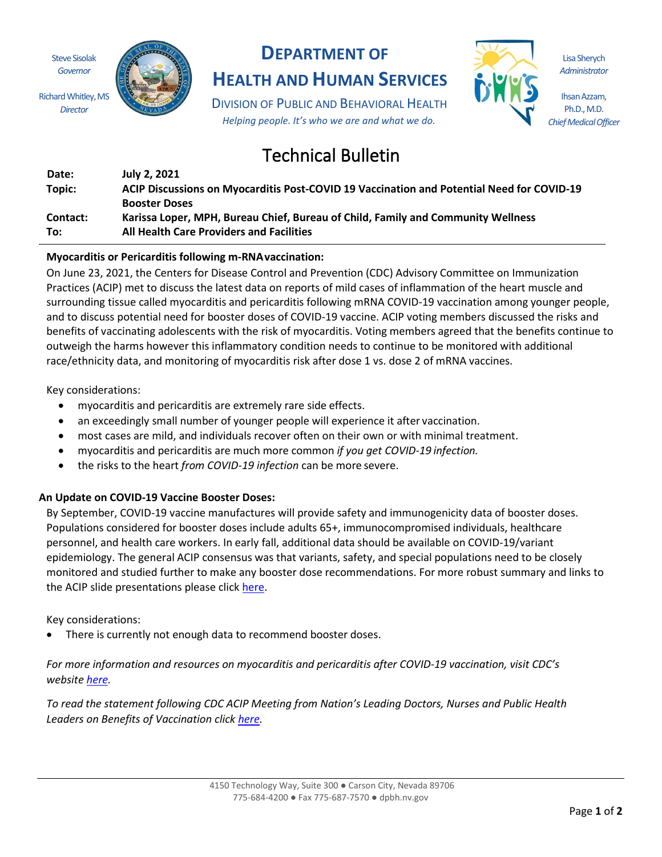Steve Sisolak *Governor*

Richard Whitley, MS *Director*



## **DEPARTMENT OF**

# **HEALTH AND HUMAN SERVICES**

DIVISION OF PUBLIC AND BEHAVIORAL HEALTH *Helping people. It's who we are and what we do.*

# Technical Bulletin

| Date:           | July 2, 2021                                                                              |
|-----------------|-------------------------------------------------------------------------------------------|
| Topic:          | ACIP Discussions on Myocarditis Post-COVID 19 Vaccination and Potential Need for COVID-19 |
|                 | <b>Booster Doses</b>                                                                      |
| <b>Contact:</b> | Karissa Loper, MPH, Bureau Chief, Bureau of Child, Family and Community Wellness          |
| To:             | <b>All Health Care Providers and Facilities</b>                                           |

## **Myocarditis or Pericarditis following m-RNAvaccination:**

On June 23, 2021, the Centers for Disease Control and Prevention (CDC) Advisory Committee on Immunization Practices (ACIP) met to discuss the latest data on reports of mild cases of inflammation of the heart muscle and surrounding tissue called myocarditis and pericarditis following mRNA COVID-19 vaccination among younger people, and to discuss potential need for booster doses of COVID-19 vaccine. ACIP voting members discussed the risks and benefits of vaccinating adolescents with the risk of myocarditis. Voting members agreed that the benefits continue to outweigh the harms however this inflammatory condition needs to continue to be monitored with additional race/ethnicity data, and monitoring of myocarditis risk after dose 1 vs. dose 2 of mRNA vaccines.

Key considerations:

- myocarditis and pericarditis are extremely rare side effects.
- an exceedingly small number of younger people will experience it after vaccination.
- most cases are mild, and individuals recover often on their own or with minimal treatment.
- myocarditis and pericarditis are much more common *if you get COVID-19 infection.*
- the risks to the heart *from COVID-19 infection* can be more severe.

### **An Update on COVID-19 Vaccine Booster Doses:**

By September, COVID-19 vaccine manufactures will provide safety and immunogenicity data of booster doses. Populations considered for booster doses include adults 65+, immunocompromised individuals, healthcare personnel, and health care workers. In early fall, additional data should be available on COVID-19/variant epidemiology. The general ACIP consensus was that variants, safety, and special populations need to be closely monitored and studied further to make any booster dose recommendations. For more robust summary and links to the ACIP slide presentations please click here.

### Key considerations:

• There is currently not enough data to recommend booster doses.

*For more information and resources on myocarditis and pericarditis after COVID-19 vaccination, visit CDC's website here.*

*To read the statement following CDC ACIP Meeting from Nation's Leading Doctors, Nurses and Public Health Leaders on Benefits of Vaccination click here.*

Lisa Sherych *Administrator*

Ihsan Azzam, Ph.D., M.D. *Chief Medical Officer*